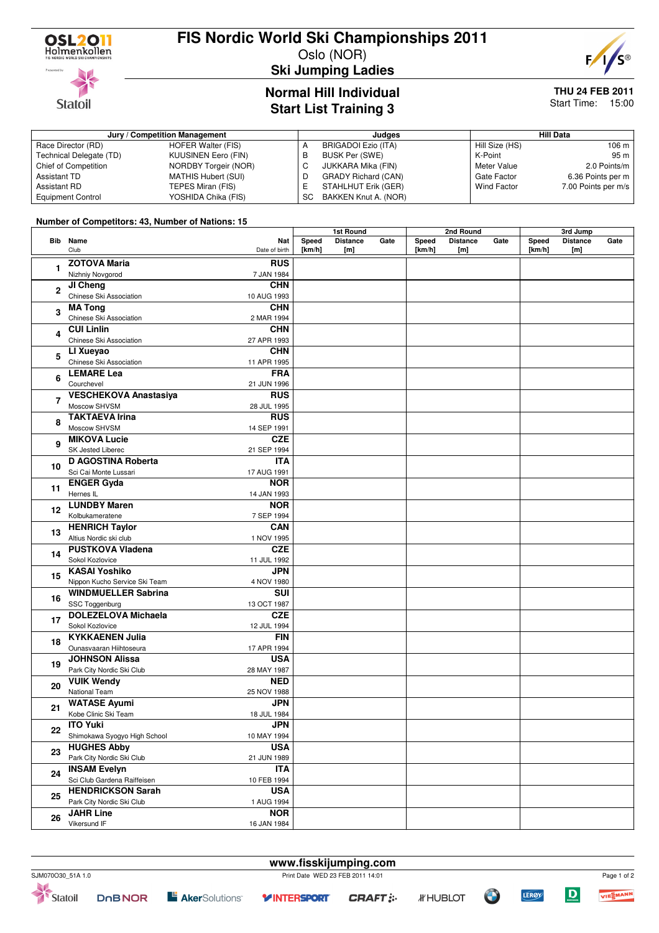

## **FIS Nordic World Ski Championships 2011**

Oslo (NOR)



**Ski Jumping Ladies**

### **Normal Hill Individual Start List Training 3**

#### **THU 24 FEB 2011** Start Time: 15:00

**Jury / Competition Management Judges Hill Data** Race Director (RD) HOFER Walter (FIS)<br>Technical Delegate (TD) KUUSINEN Eero (FIN) Technical Delegate (TD) Chief of Competition NORDBY Torgeir (NOR) Assistant TD MATHIS Hubert (SUI)<br>Assistant RD TEPES Miran (FIS) TEPES Miran (FIS) Equipment Control VOSHIDA Chika (FIS) A BRIGADOI Ezio (ITA)<br>B BUSK Per (SWE) B BUSK Per (SWE)<br>C JUKKARA Mika (I JUKKARA Mika (FIN) D GRADY Richard (CAN)<br>E STAHLHUT Erik (GER) STAHLHUT Erik (GER) SC BAKKEN Knut A. (NOR) Hill Size (HS) 106 m<br>K-Point 95 m K-Point<br>Meter Value 2.0 Points/m Gate Factor 6.36 Points per m<br>Wind Factor 7.00 Points per m/s 7.00 Points per m/s

#### **Number of Competitors: 43, Number of Nations: 15**

|                |                               |               | 1st Round |                 | 2nd Round |        |                 | 3rd Jump |        |                 |      |
|----------------|-------------------------------|---------------|-----------|-----------------|-----------|--------|-----------------|----------|--------|-----------------|------|
|                | Bib Name                      | Nat           | Speed     | <b>Distance</b> | Gate      | Speed  | <b>Distance</b> | Gate     | Speed  | <b>Distance</b> | Gate |
|                | Club                          | Date of birth | [km/h]    | [m]             |           | [km/h] | [m]             |          | [km/h] | [m]             |      |
|                | <b>ZOTOVA Maria</b>           | <b>RUS</b>    |           |                 |           |        |                 |          |        |                 |      |
| 1              | Nizhniy Novgorod              | 7 JAN 1984    |           |                 |           |        |                 |          |        |                 |      |
|                |                               | <b>CHN</b>    |           |                 |           |        |                 |          |        |                 |      |
| $\overline{2}$ | JI Cheng                      |               |           |                 |           |        |                 |          |        |                 |      |
|                | Chinese Ski Association       | 10 AUG 1993   |           |                 |           |        |                 |          |        |                 |      |
| 3              | <b>MA Tong</b>                | <b>CHN</b>    |           |                 |           |        |                 |          |        |                 |      |
| 4              | Chinese Ski Association       | 2 MAR 1994    |           |                 |           |        |                 |          |        |                 |      |
|                | <b>CUI Linlin</b>             | <b>CHN</b>    |           |                 |           |        |                 |          |        |                 |      |
|                | Chinese Ski Association       | 27 APR 1993   |           |                 |           |        |                 |          |        |                 |      |
| 5              | LI Xueyao                     | <b>CHN</b>    |           |                 |           |        |                 |          |        |                 |      |
|                | Chinese Ski Association       | 11 APR 1995   |           |                 |           |        |                 |          |        |                 |      |
|                | <b>LEMARE Lea</b>             | <b>FRA</b>    |           |                 |           |        |                 |          |        |                 |      |
| 6              | Courchevel                    | 21 JUN 1996   |           |                 |           |        |                 |          |        |                 |      |
|                | <b>VESCHEKOVA Anastasiya</b>  | <b>RUS</b>    |           |                 |           |        |                 |          |        |                 |      |
| 7              | Moscow SHVSM                  | 28 JUL 1995   |           |                 |           |        |                 |          |        |                 |      |
|                | <b>TAKTAEVA Irina</b>         | <b>RUS</b>    |           |                 |           |        |                 |          |        |                 |      |
| 8              |                               |               |           |                 |           |        |                 |          |        |                 |      |
|                | Moscow SHVSM                  | 14 SEP 1991   |           |                 |           |        |                 |          |        |                 |      |
| 9              | <b>MIKOVA Lucie</b>           | <b>CZE</b>    |           |                 |           |        |                 |          |        |                 |      |
|                | SK Jested Liberec             | 21 SEP 1994   |           |                 |           |        |                 |          |        |                 |      |
| 10             | <b>D AGOSTINA Roberta</b>     | <b>ITA</b>    |           |                 |           |        |                 |          |        |                 |      |
|                | Sci Cai Monte Lussari         | 17 AUG 1991   |           |                 |           |        |                 |          |        |                 |      |
| 11             | <b>ENGER Gyda</b>             | <b>NOR</b>    |           |                 |           |        |                 |          |        |                 |      |
| 12             | Hernes IL                     | 14 JAN 1993   |           |                 |           |        |                 |          |        |                 |      |
|                | <b>LUNDBY Maren</b>           | <b>NOR</b>    |           |                 |           |        |                 |          |        |                 |      |
|                | Kolbukameratene               | 7 SEP 1994    |           |                 |           |        |                 |          |        |                 |      |
|                | <b>HENRICH Taylor</b>         | CAN           |           |                 |           |        |                 |          |        |                 |      |
| 13             | Altius Nordic ski club        | 1 NOV 1995    |           |                 |           |        |                 |          |        |                 |      |
|                | <b>PUSTKOVA Vladena</b>       | <b>CZE</b>    |           |                 |           |        |                 |          |        |                 |      |
| 14             | Sokol Kozlovice               | 11 JUL 1992   |           |                 |           |        |                 |          |        |                 |      |
|                | <b>KASAI Yoshiko</b>          | <b>JPN</b>    |           |                 |           |        |                 |          |        |                 |      |
| 15             | Nippon Kucho Service Ski Team | 4 NOV 1980    |           |                 |           |        |                 |          |        |                 |      |
|                |                               |               |           |                 |           |        |                 |          |        |                 |      |
| 16             | <b>WINDMUELLER Sabrina</b>    | SUI           |           |                 |           |        |                 |          |        |                 |      |
|                | SSC Toggenburg                | 13 OCT 1987   |           |                 |           |        |                 |          |        |                 |      |
| 17             | <b>DOLEZELOVA Michaela</b>    | <b>CZE</b>    |           |                 |           |        |                 |          |        |                 |      |
|                | Sokol Kozlovice               | 12 JUL 1994   |           |                 |           |        |                 |          |        |                 |      |
| 18             | <b>KYKKAENEN Julia</b>        | <b>FIN</b>    |           |                 |           |        |                 |          |        |                 |      |
|                | Ounasvaaran Hiihtoseura       | 17 APR 1994   |           |                 |           |        |                 |          |        |                 |      |
| 19             | <b>JOHNSON Alissa</b>         | <b>USA</b>    |           |                 |           |        |                 |          |        |                 |      |
|                | Park City Nordic Ski Club     | 28 MAY 1987   |           |                 |           |        |                 |          |        |                 |      |
| 20<br>21       | <b>VUIK Wendy</b>             | <b>NED</b>    |           |                 |           |        |                 |          |        |                 |      |
|                | National Team                 | 25 NOV 1988   |           |                 |           |        |                 |          |        |                 |      |
|                | <b>WATASE Ayumi</b>           | <b>JPN</b>    |           |                 |           |        |                 |          |        |                 |      |
|                | Kobe Clinic Ski Team          | 18 JUL 1984   |           |                 |           |        |                 |          |        |                 |      |
| 22             | <b>ITO Yuki</b>               | <b>JPN</b>    |           |                 |           |        |                 |          |        |                 |      |
|                | Shimokawa Syogyo High School  | 10 MAY 1994   |           |                 |           |        |                 |          |        |                 |      |
|                | <b>HUGHES Abby</b>            | <b>USA</b>    |           |                 |           |        |                 |          |        |                 |      |
| 23             |                               |               |           |                 |           |        |                 |          |        |                 |      |
| 24             | Park City Nordic Ski Club     | 21 JUN 1989   |           |                 |           |        |                 |          |        |                 |      |
|                | <b>INSAM Evelyn</b>           | <b>ITA</b>    |           |                 |           |        |                 |          |        |                 |      |
|                | Sci Club Gardena Raiffeisen   | 10 FEB 1994   |           |                 |           |        |                 |          |        |                 |      |
| 25             | <b>HENDRICKSON Sarah</b>      | <b>USA</b>    |           |                 |           |        |                 |          |        |                 |      |
|                | Park City Nordic Ski Club     | 1 AUG 1994    |           |                 |           |        |                 |          |        |                 |      |
| 26             | <b>JAHR Line</b>              | <b>NOR</b>    |           |                 |           |        |                 |          |        |                 |      |
|                | Vikersund IF                  | 16 JAN 1984   |           |                 |           |        |                 |          |        |                 |      |





**www.fisskijumping.com**



Page 1 of 2

VIE

WN

D

**LERØY**